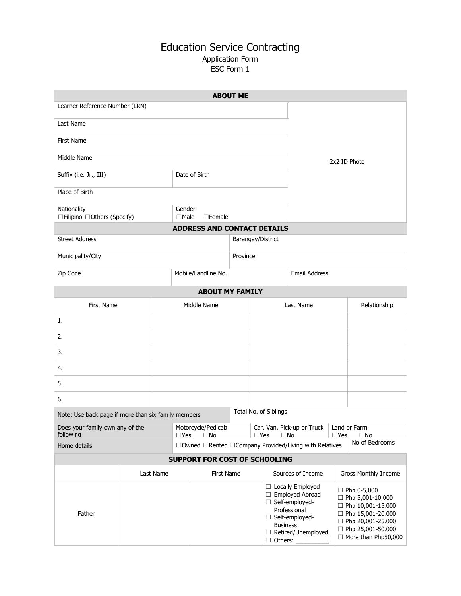## Education Service Contracting Application Form ESC Form 1

| <b>ABOUT ME</b>                                     |           |                                                  |                                                        |  |                                                                            |                                   |                                                                                                                         |                |                                                                                                                                                                   |  |  |
|-----------------------------------------------------|-----------|--------------------------------------------------|--------------------------------------------------------|--|----------------------------------------------------------------------------|-----------------------------------|-------------------------------------------------------------------------------------------------------------------------|----------------|-------------------------------------------------------------------------------------------------------------------------------------------------------------------|--|--|
| Learner Reference Number (LRN)                      |           |                                                  |                                                        |  |                                                                            |                                   |                                                                                                                         |                |                                                                                                                                                                   |  |  |
| Last Name                                           |           |                                                  |                                                        |  |                                                                            |                                   |                                                                                                                         |                |                                                                                                                                                                   |  |  |
| First Name                                          |           |                                                  |                                                        |  |                                                                            |                                   |                                                                                                                         |                |                                                                                                                                                                   |  |  |
| Middle Name                                         |           |                                                  |                                                        |  |                                                                            |                                   | 2x2 ID Photo                                                                                                            |                |                                                                                                                                                                   |  |  |
| Suffix (i.e. Jr., III)                              |           |                                                  | Date of Birth                                          |  |                                                                            |                                   |                                                                                                                         |                |                                                                                                                                                                   |  |  |
| Place of Birth                                      |           |                                                  |                                                        |  |                                                                            |                                   |                                                                                                                         |                |                                                                                                                                                                   |  |  |
| Nationality<br>□Filipino □Others (Specify)          |           |                                                  | Gender<br>$\Box$ Male<br>$\Box$ Female                 |  |                                                                            |                                   |                                                                                                                         |                |                                                                                                                                                                   |  |  |
| <b>ADDRESS AND CONTACT DETAILS</b>                  |           |                                                  |                                                        |  |                                                                            |                                   |                                                                                                                         |                |                                                                                                                                                                   |  |  |
| <b>Street Address</b>                               |           |                                                  | Barangay/District                                      |  |                                                                            |                                   |                                                                                                                         |                |                                                                                                                                                                   |  |  |
| Municipality/City                                   |           |                                                  | Province                                               |  |                                                                            |                                   |                                                                                                                         |                |                                                                                                                                                                   |  |  |
| Zip Code                                            |           |                                                  | Mobile/Landline No.                                    |  |                                                                            | <b>Email Address</b>              |                                                                                                                         |                |                                                                                                                                                                   |  |  |
| <b>ABOUT MY FAMILY</b>                              |           |                                                  |                                                        |  |                                                                            |                                   |                                                                                                                         |                |                                                                                                                                                                   |  |  |
| <b>First Name</b>                                   |           |                                                  | Middle Name                                            |  |                                                                            |                                   | Last Name                                                                                                               |                | Relationship                                                                                                                                                      |  |  |
| 1.                                                  |           |                                                  |                                                        |  |                                                                            |                                   |                                                                                                                         |                |                                                                                                                                                                   |  |  |
| 2.                                                  |           |                                                  |                                                        |  |                                                                            |                                   |                                                                                                                         |                |                                                                                                                                                                   |  |  |
| 3.                                                  |           |                                                  |                                                        |  |                                                                            |                                   |                                                                                                                         |                |                                                                                                                                                                   |  |  |
| 4.                                                  |           |                                                  |                                                        |  |                                                                            |                                   |                                                                                                                         |                |                                                                                                                                                                   |  |  |
| 5.                                                  |           |                                                  |                                                        |  |                                                                            |                                   |                                                                                                                         |                |                                                                                                                                                                   |  |  |
| 6.                                                  |           |                                                  |                                                        |  |                                                                            |                                   |                                                                                                                         |                |                                                                                                                                                                   |  |  |
| Note: Use back page if more than six family members |           |                                                  |                                                        |  |                                                                            | Total No. of Siblings             |                                                                                                                         |                |                                                                                                                                                                   |  |  |
| Does your family own any of the<br>following        |           | Motorcycle/Pedicab<br>$\Box$ Yes<br>$\square$ No |                                                        |  | Car, Van, Pick-up or Truck   Land or Farm<br>$\square$ Yes<br>$\square$ No |                                   |                                                                                                                         | $\Box$ Yes     | $\square$ No                                                                                                                                                      |  |  |
| Home details                                        |           |                                                  | □Owned □Rented □Company Provided/Living with Relatives |  |                                                                            |                                   |                                                                                                                         | No of Bedrooms |                                                                                                                                                                   |  |  |
| SUPPORT FOR COST OF SCHOOLING                       |           |                                                  |                                                        |  |                                                                            |                                   |                                                                                                                         |                |                                                                                                                                                                   |  |  |
|                                                     | Last Name |                                                  | First Name                                             |  |                                                                            | Sources of Income                 |                                                                                                                         |                | Gross Monthly Income                                                                                                                                              |  |  |
| Father                                              |           |                                                  |                                                        |  |                                                                            | <b>Business</b><br>$\Box$ Others: | □ Locally Employed<br>□ Employed Abroad<br>□ Self-employed-<br>Professional<br>□ Self-employed-<br>□ Retired/Unemployed |                | $\Box$ Php 0-5,000<br>$\Box$ Php 5,001-10,000<br>Php 10,001-15,000<br>Php 15,001-20,000<br>Php 20,001-25,000<br>□ Php 25,001-50,000<br>$\Box$ More than Php50,000 |  |  |